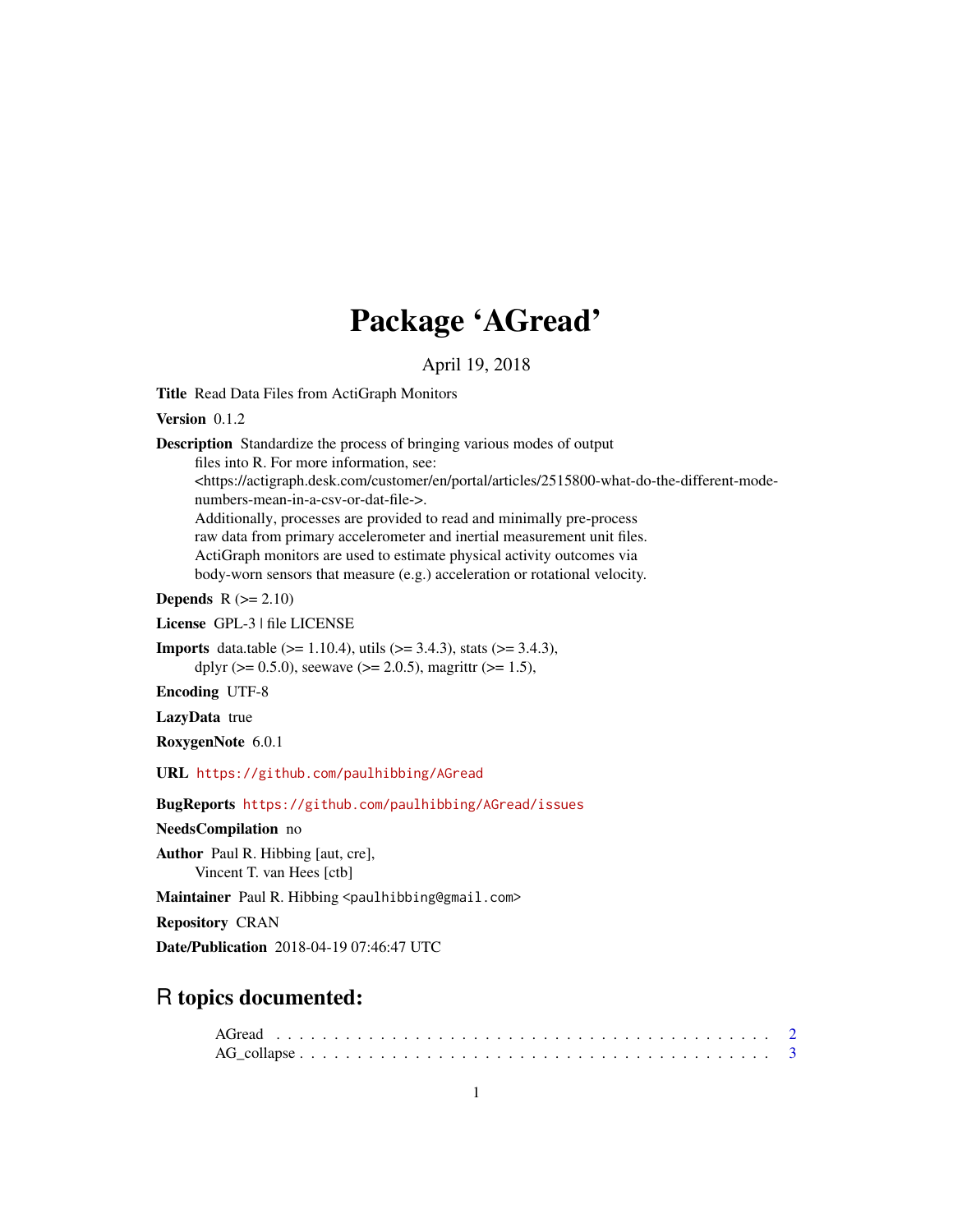## Package 'AGread'

April 19, 2018

Title Read Data Files from ActiGraph Monitors

Version 0.1.2

Description Standardize the process of bringing various modes of output files into R. For more information, see: <https://actigraph.desk.com/customer/en/portal/articles/2515800-what-do-the-different-modenumbers-mean-in-a-csv-or-dat-file->. Additionally, processes are provided to read and minimally pre-process raw data from primary accelerometer and inertial measurement unit files. ActiGraph monitors are used to estimate physical activity outcomes via body-worn sensors that measure (e.g.) acceleration or rotational velocity. Depends  $R (= 2.10)$ License GPL-3 | file LICENSE

**Imports** data.table ( $> = 1.10.4$ ), utils ( $> = 3.4.3$ ), stats ( $> = 3.4.3$ ), dplyr ( $> = 0.5.0$ ), seewave ( $> = 2.0.5$ ), magrittr ( $> = 1.5$ ),

Encoding UTF-8

LazyData true

RoxygenNote 6.0.1

URL <https://github.com/paulhibbing/AGread>

BugReports <https://github.com/paulhibbing/AGread/issues>

NeedsCompilation no

Author Paul R. Hibbing [aut, cre], Vincent T. van Hees [ctb]

Maintainer Paul R. Hibbing <paulhibbing@gmail.com>

Repository CRAN

Date/Publication 2018-04-19 07:46:47 UTC

### R topics documented: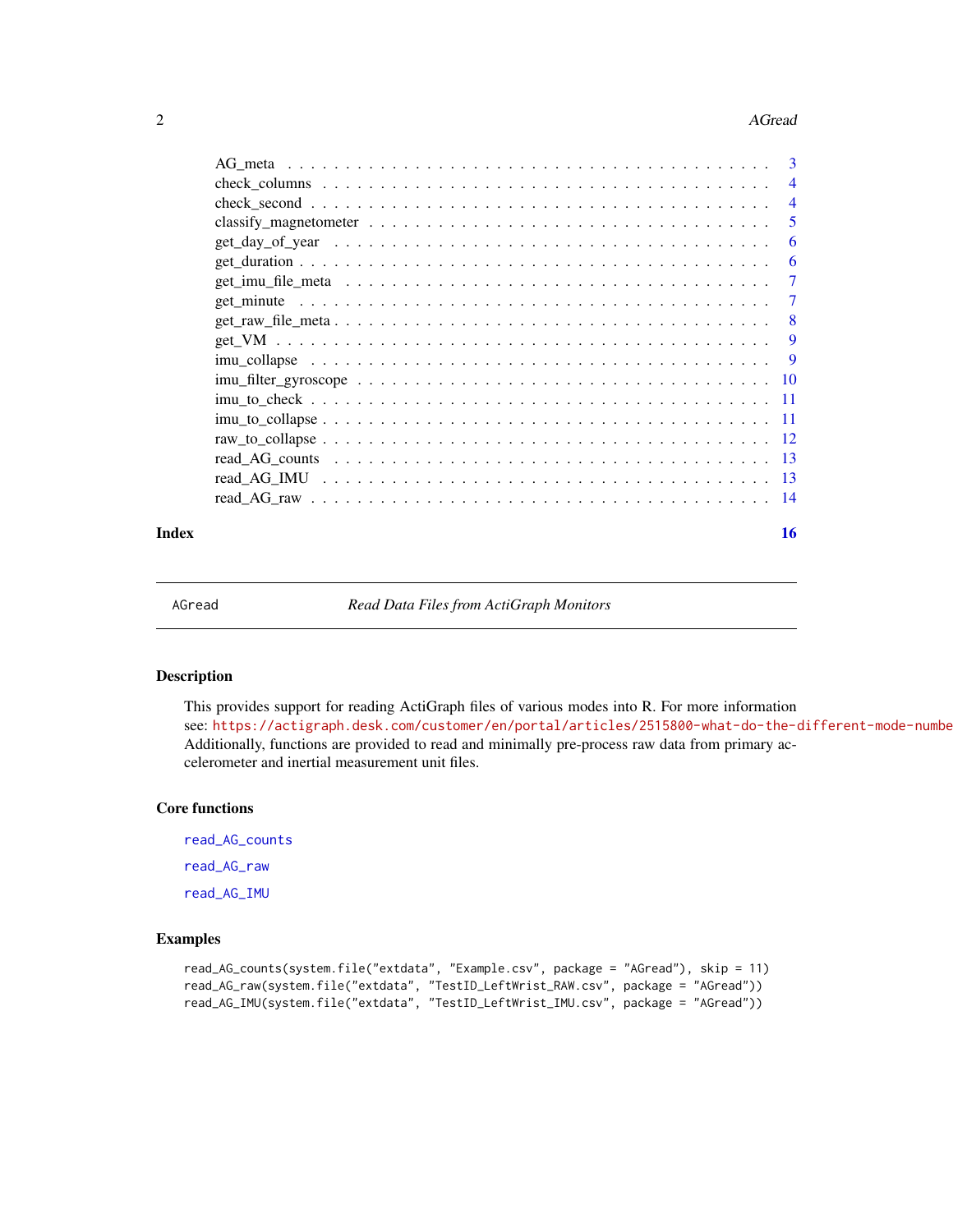#### <span id="page-1-0"></span>2 **AGread** 2

|       | $\overline{4}$ |
|-------|----------------|
|       | 5              |
|       | 6              |
|       | 6              |
|       | 7              |
|       | 7              |
|       | -8             |
|       | 9              |
|       | -9             |
|       |                |
|       |                |
|       |                |
|       |                |
|       |                |
|       |                |
|       |                |
| Index | 16             |

AGread *Read Data Files from ActiGraph Monitors*

#### Description

This provides support for reading ActiGraph files of various modes into R. For more information see: https://actigraph.desk.com/customer/en/portal/articles/2515800-what-do-the-different-mode-numbe Additionally, functions are provided to read and minimally pre-process raw data from primary accelerometer and inertial measurement unit files.

#### Core functions

[read\\_AG\\_counts](#page-12-1) [read\\_AG\\_raw](#page-13-1) [read\\_AG\\_IMU](#page-12-2)

```
read_AG_counts(system.file("extdata", "Example.csv", package = "AGread"), skip = 11)
read_AG_raw(system.file("extdata", "TestID_LeftWrist_RAW.csv", package = "AGread"))
read_AG_IMU(system.file("extdata", "TestID_LeftWrist_IMU.csv", package = "AGread"))
```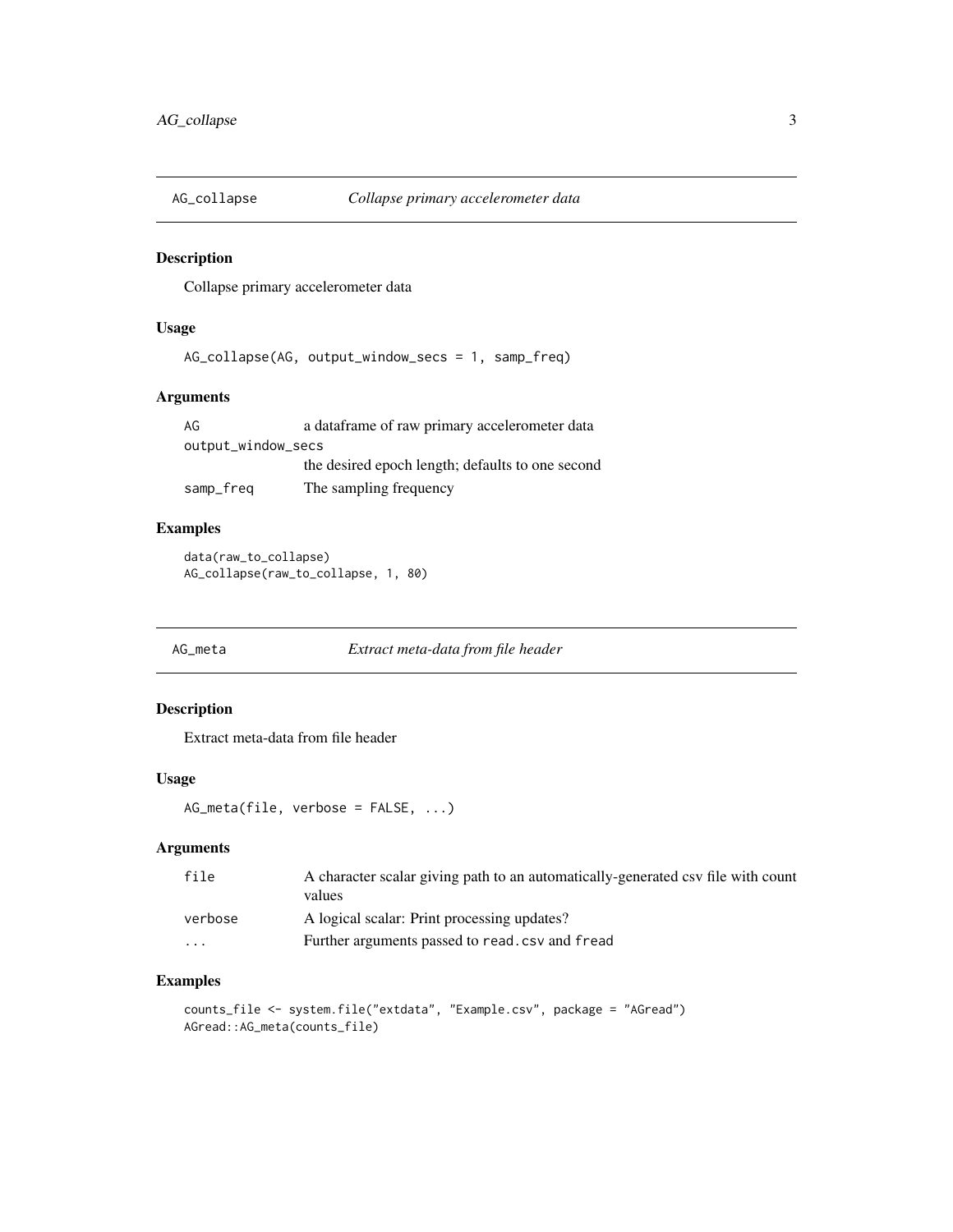<span id="page-2-0"></span>

Collapse primary accelerometer data

#### Usage

```
AG_collapse(AG, output_window_secs = 1, samp_freq)
```
#### Arguments

| AG                 | a data frame of raw primary accelerometer data   |
|--------------------|--------------------------------------------------|
| output_window_secs |                                                  |
|                    | the desired epoch length; defaults to one second |
| samp_freq          | The sampling frequency                           |

#### Examples

```
data(raw_to_collapse)
AG_collapse(raw_to_collapse, 1, 80)
```
AG\_meta *Extract meta-data from file header*

#### Description

Extract meta-data from file header

#### Usage

```
AG_meta(file, verbose = FALSE, ...)
```
#### Arguments

| file    | A character scalar giving path to an automatically-generated csv file with count<br>values |
|---------|--------------------------------------------------------------------------------------------|
| verbose | A logical scalar: Print processing updates?                                                |
| .       | Further arguments passed to read, csv and fread                                            |

```
counts_file <- system.file("extdata", "Example.csv", package = "AGread")
AGread::AG_meta(counts_file)
```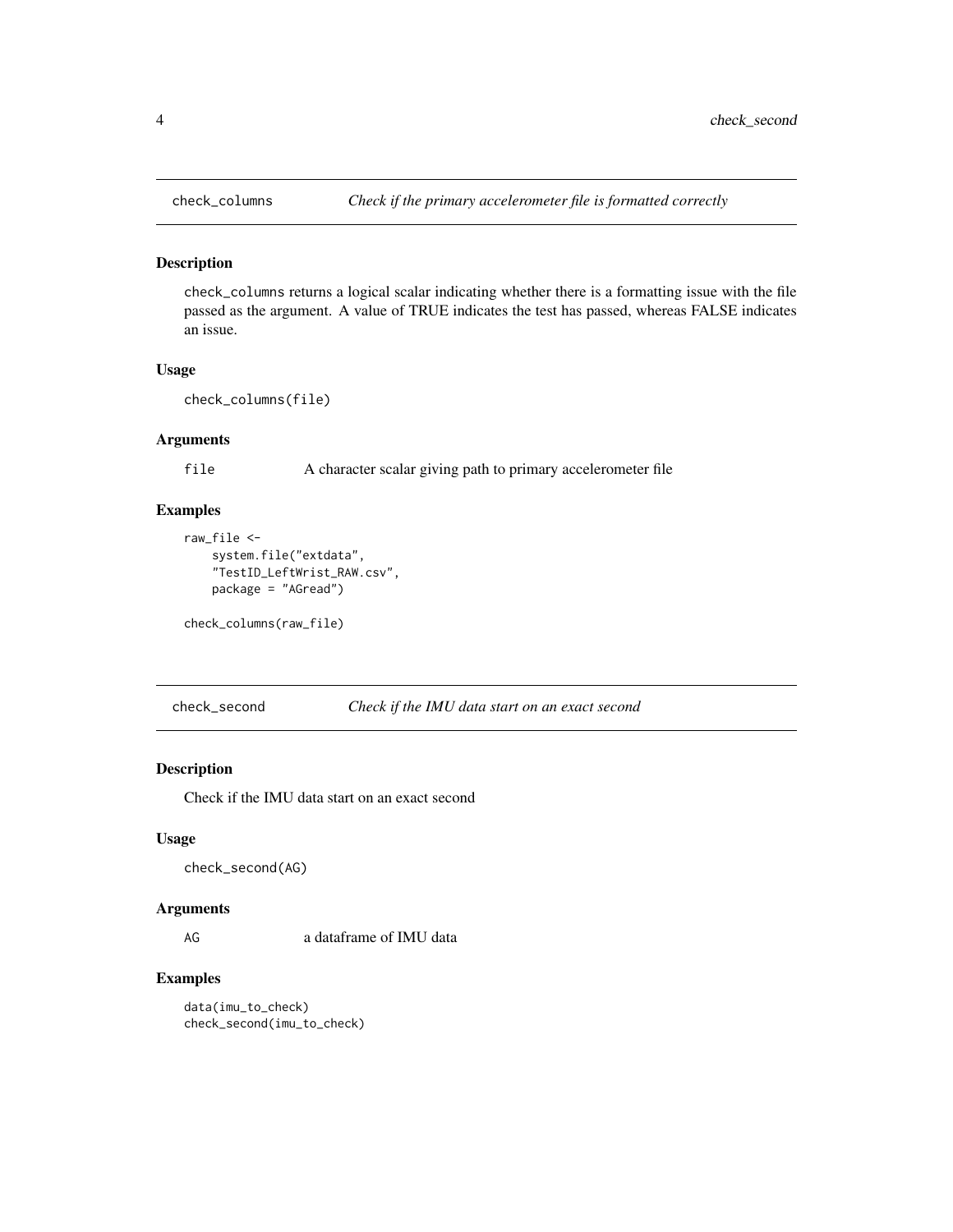<span id="page-3-0"></span>

check\_columns returns a logical scalar indicating whether there is a formatting issue with the file passed as the argument. A value of TRUE indicates the test has passed, whereas FALSE indicates an issue.

#### Usage

```
check_columns(file)
```
#### Arguments

file A character scalar giving path to primary accelerometer file

#### Examples

```
raw_file <-
    system.file("extdata",
    "TestID_LeftWrist_RAW.csv",
   package = "AGread")
```
check\_columns(raw\_file)

check\_second *Check if the IMU data start on an exact second*

#### Description

Check if the IMU data start on an exact second

#### Usage

check\_second(AG)

#### Arguments

AG a dataframe of IMU data

#### Examples

data(imu\_to\_check) check\_second(imu\_to\_check)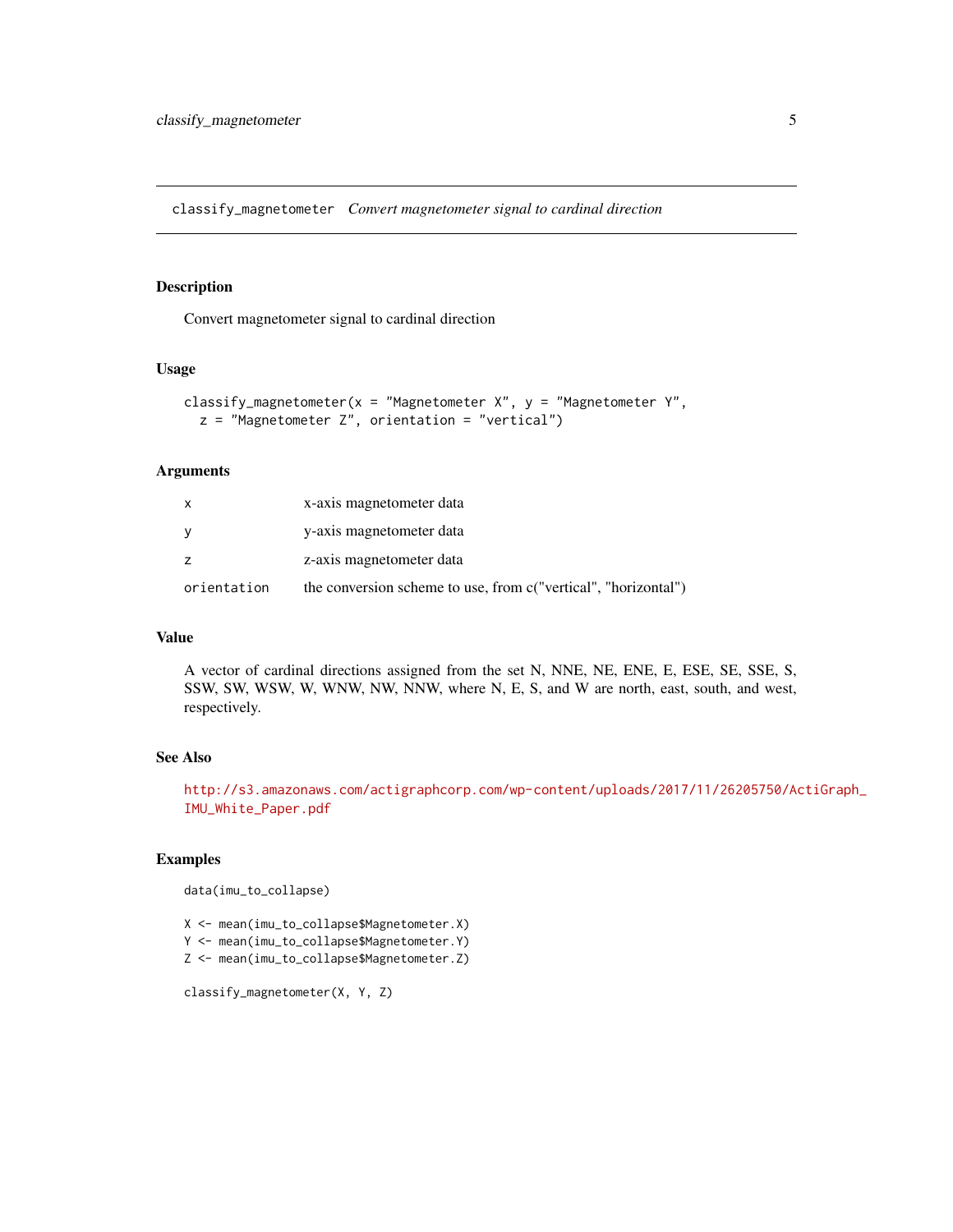<span id="page-4-0"></span>classify\_magnetometer *Convert magnetometer signal to cardinal direction*

#### Description

Convert magnetometer signal to cardinal direction

#### Usage

```
classify_magnetometer(x = "Magnetometer X'', y = "Magnetometer Y'',
  z = "Magnetometer Z", orientation = "vertical")
```
#### Arguments

| $\mathsf{x}$ | x-axis magnetometer data                                       |
|--------------|----------------------------------------------------------------|
|              | y-axis magnetometer data                                       |
|              | z-axis magnetometer data                                       |
| orientation  | the conversion scheme to use, from c("vertical", "horizontal") |

#### Value

A vector of cardinal directions assigned from the set N, NNE, NE, ENE, E, ESE, SE, SSE, S, SSW, SW, WSW, W, WNW, NW, NNW, where N, E, S, and W are north, east, south, and west, respectively.

#### See Also

[http://s3.amazonaws.com/actigraphcorp.com/wp-content/uploads/2017/11/26205750/Ac](http://s3.amazonaws.com/actigraphcorp.com/wp-content/uploads/2017/11/26205750/ActiGraph_IMU_White_Paper.pdf)tiGraph\_ [IMU\\_White\\_Paper.pdf](http://s3.amazonaws.com/actigraphcorp.com/wp-content/uploads/2017/11/26205750/ActiGraph_IMU_White_Paper.pdf)

#### Examples

```
data(imu_to_collapse)
```
X <- mean(imu\_to\_collapse\$Magnetometer.X)

Y <- mean(imu\_to\_collapse\$Magnetometer.Y)

Z <- mean(imu\_to\_collapse\$Magnetometer.Z)

classify\_magnetometer(X, Y, Z)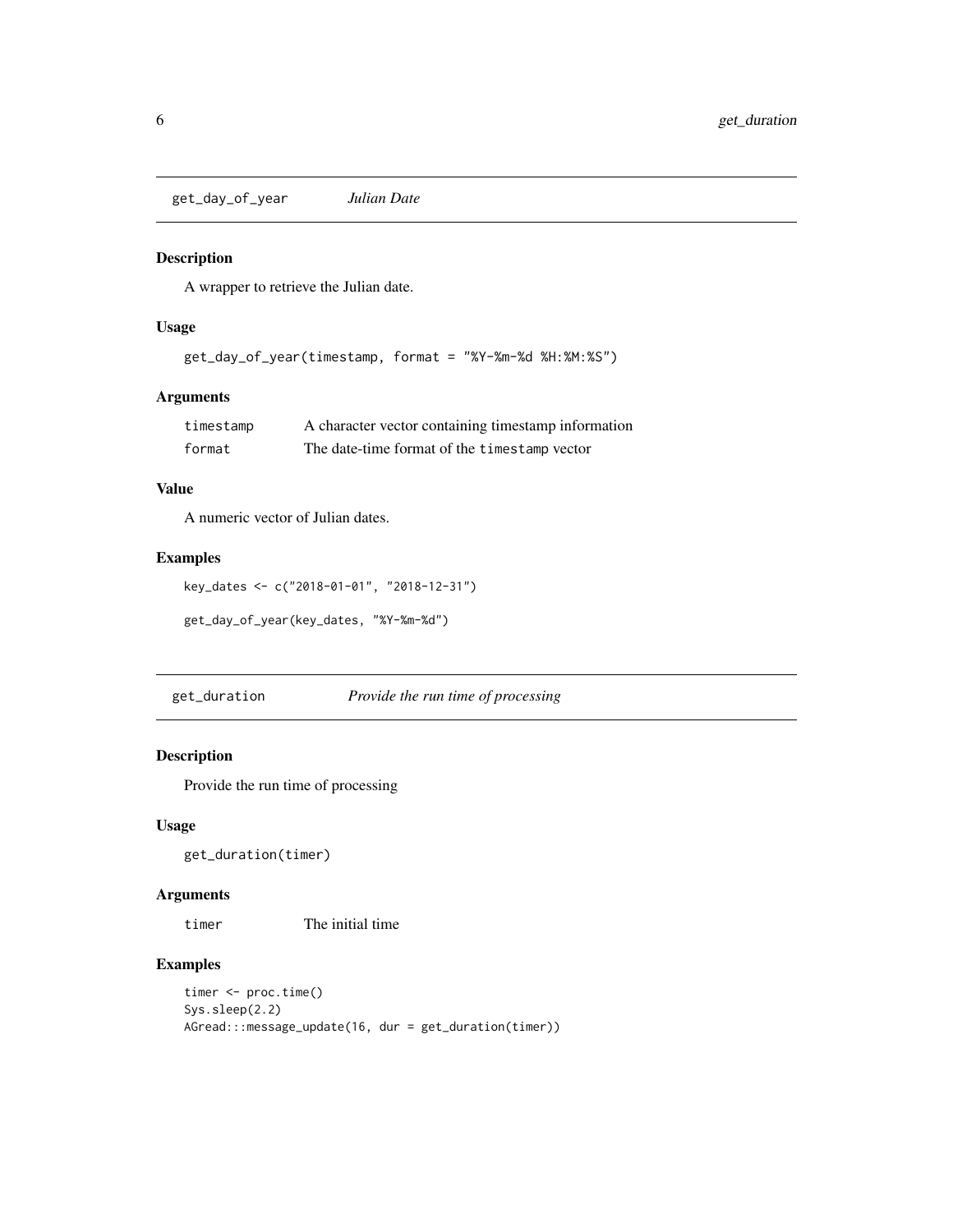<span id="page-5-0"></span>get\_day\_of\_year *Julian Date*

#### Description

A wrapper to retrieve the Julian date.

#### Usage

get\_day\_of\_year(timestamp, format = "%Y-%m-%d %H:%M:%S")

#### Arguments

| timestamp | A character vector containing timestamp information |
|-----------|-----------------------------------------------------|
| format    | The date-time format of the timestamp vector        |

#### Value

A numeric vector of Julian dates.

#### Examples

```
key_dates <- c("2018-01-01", "2018-12-31")
```
get\_day\_of\_year(key\_dates, "%Y-%m-%d")

get\_duration *Provide the run time of processing*

#### Description

Provide the run time of processing

#### Usage

get\_duration(timer)

#### Arguments

timer The initial time

```
timer <- proc.time()
Sys.sleep(2.2)
AGread:::message_update(16, dur = get_duration(timer))
```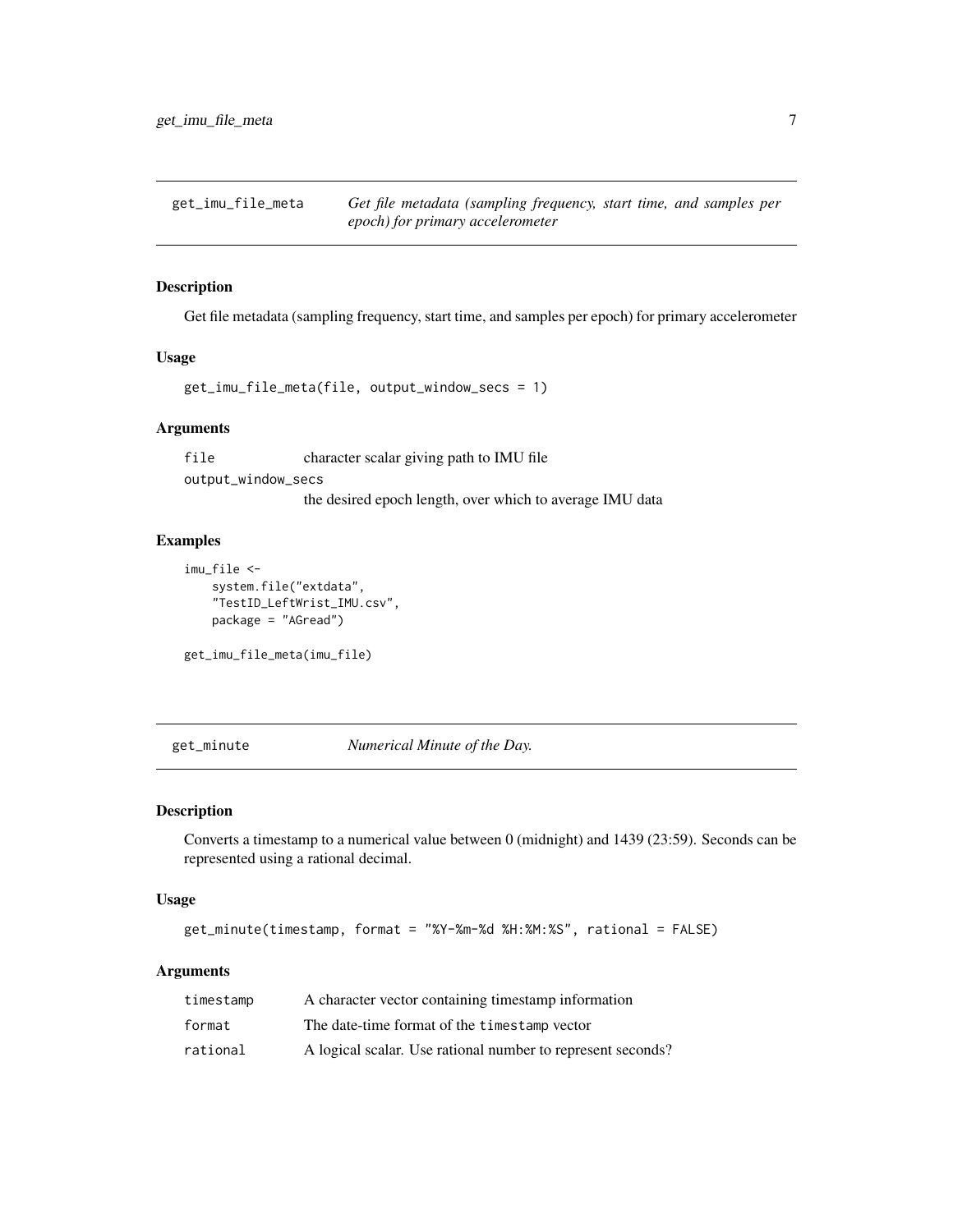<span id="page-6-0"></span>get\_imu\_file\_meta *Get file metadata (sampling frequency, start time, and samples per epoch) for primary accelerometer*

#### Description

Get file metadata (sampling frequency, start time, and samples per epoch) for primary accelerometer

#### Usage

get\_imu\_file\_meta(file, output\_window\_secs = 1)

#### Arguments

file character scalar giving path to IMU file output\_window\_secs the desired epoch length, over which to average IMU data

#### Examples

```
imu_file <-
   system.file("extdata",
   "TestID_LeftWrist_IMU.csv",
   package = "AGread")
```
get\_imu\_file\_meta(imu\_file)

get\_minute *Numerical Minute of the Day.*

#### Description

Converts a timestamp to a numerical value between 0 (midnight) and 1439 (23:59). Seconds can be represented using a rational decimal.

#### Usage

get\_minute(timestamp, format = "%Y-%m-%d %H:%M:%S", rational = FALSE)

#### Arguments

| timestamp | A character vector containing timestamp information         |
|-----------|-------------------------------------------------------------|
| format    | The date-time format of the timestamp vector                |
| rational  | A logical scalar. Use rational number to represent seconds? |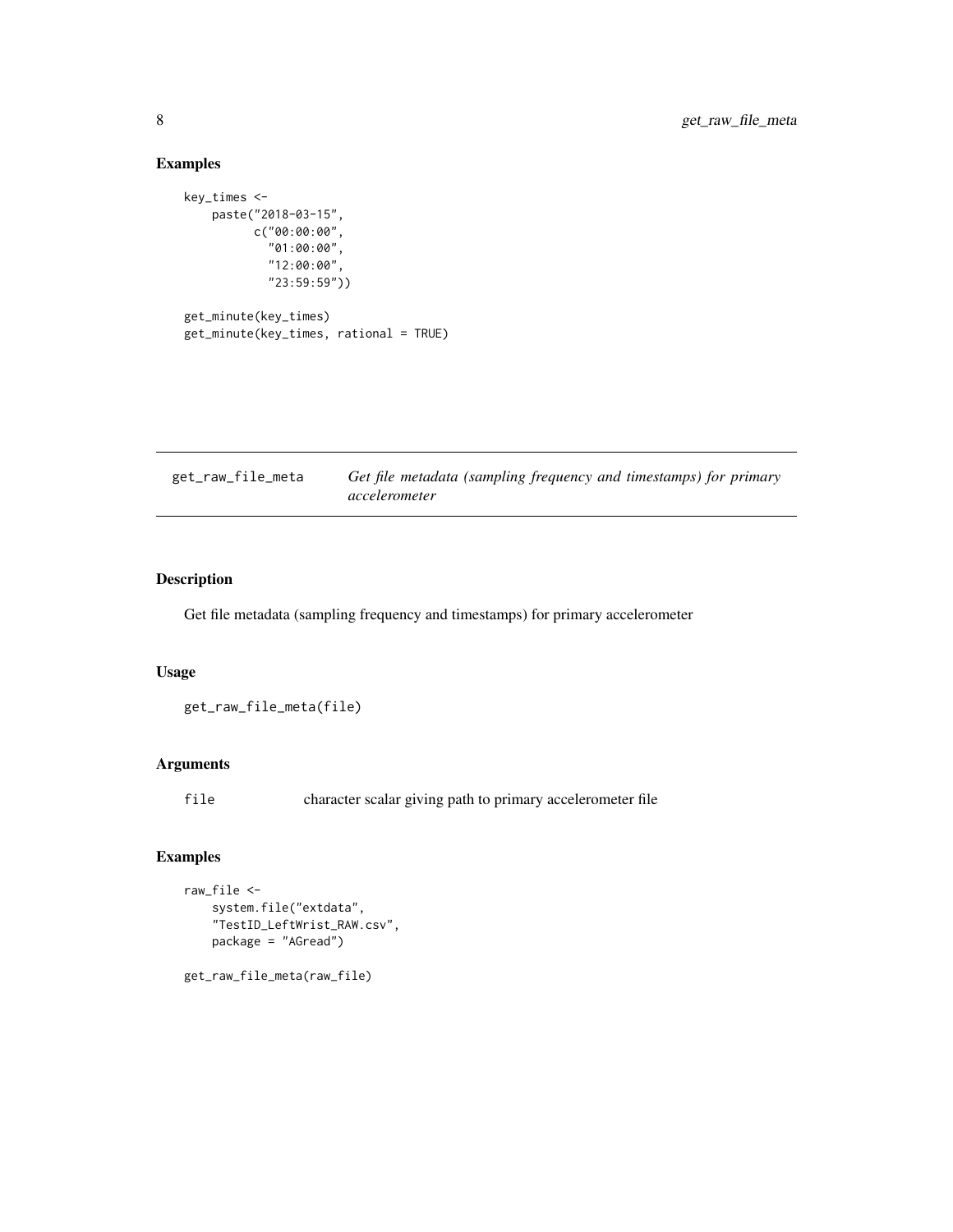#### Examples

```
key_times <-
   paste("2018-03-15",
          c("00:00:00",
            "01:00:00",
            "12:00:00",
            "23:59:59"))
get_minute(key_times)
```

| get_minute(key_times, rational = TRUE) |  |  |  |
|----------------------------------------|--|--|--|
|----------------------------------------|--|--|--|

| get_raw_file_meta | Get file metadata (sampling frequency and timestamps) for primary |
|-------------------|-------------------------------------------------------------------|
|                   | accelerometer                                                     |

#### Description

Get file metadata (sampling frequency and timestamps) for primary accelerometer

#### Usage

get\_raw\_file\_meta(file)

#### Arguments

file character scalar giving path to primary accelerometer file

#### Examples

```
raw_file <-
   system.file("extdata",
   "TestID_LeftWrist_RAW.csv",
   package = "AGread")
```
get\_raw\_file\_meta(raw\_file)

<span id="page-7-0"></span>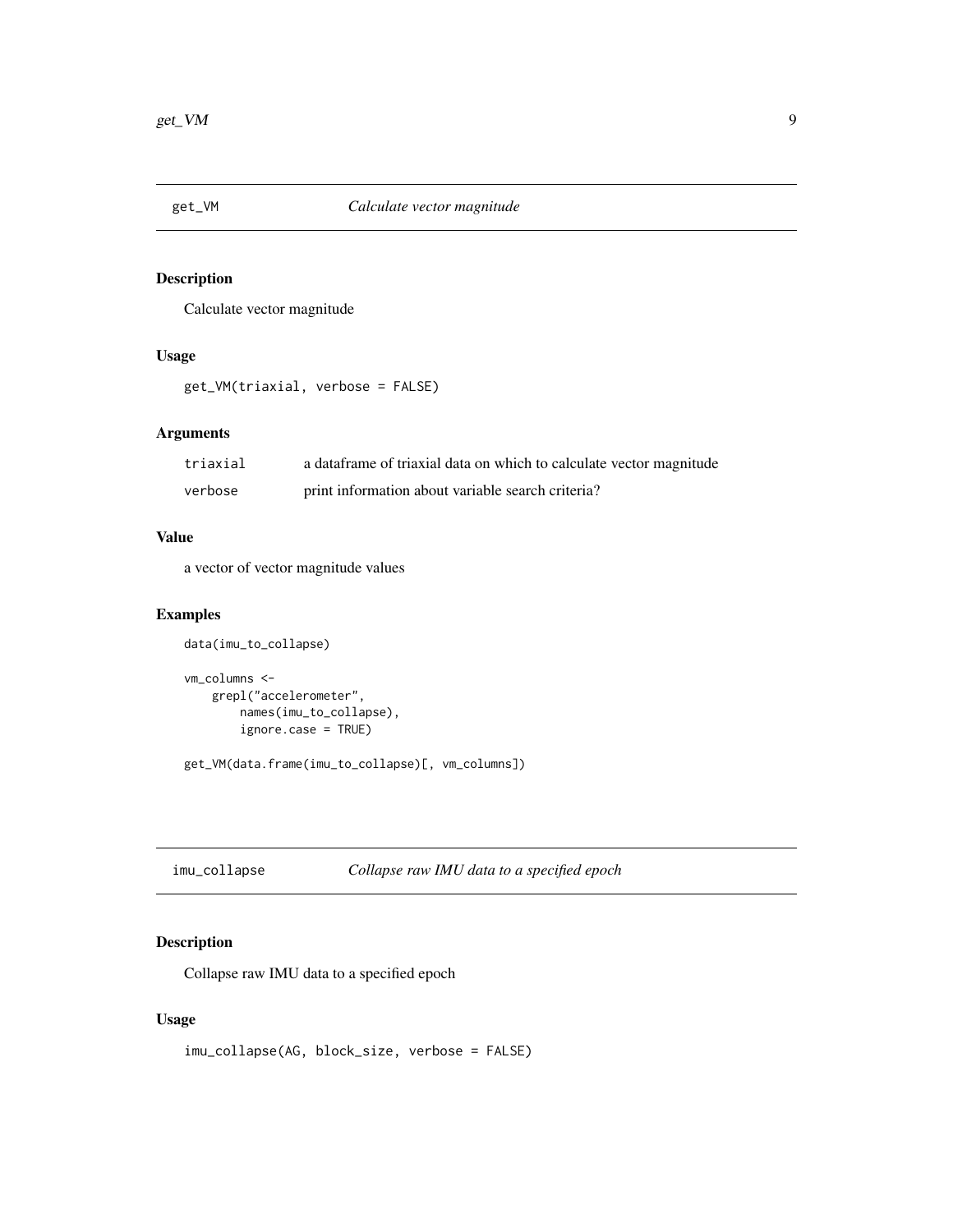<span id="page-8-0"></span>

Calculate vector magnitude

#### Usage

get\_VM(triaxial, verbose = FALSE)

#### Arguments

| triaxial | a data frame of triaxial data on which to calculate vector magnitude |
|----------|----------------------------------------------------------------------|
| verbose  | print information about variable search criteria?                    |

#### Value

a vector of vector magnitude values

#### Examples

```
data(imu_to_collapse)
vm_columns <-
   grepl("accelerometer",
       names(imu_to_collapse),
       ignore.case = TRUE)
```
get\_VM(data.frame(imu\_to\_collapse)[, vm\_columns])

imu\_collapse *Collapse raw IMU data to a specified epoch*

#### Description

Collapse raw IMU data to a specified epoch

#### Usage

```
imu_collapse(AG, block_size, verbose = FALSE)
```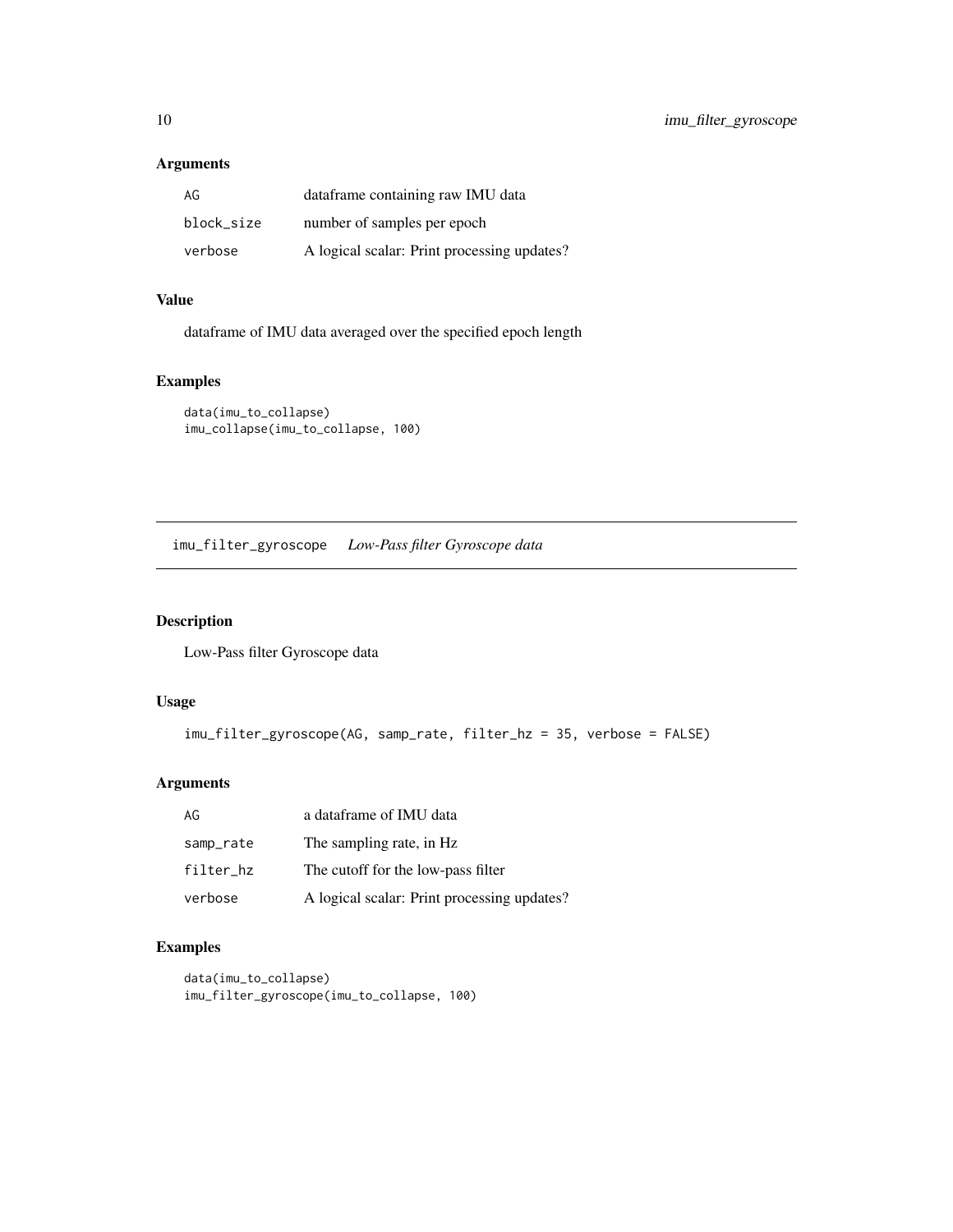#### <span id="page-9-0"></span>Arguments

| AG         | dataframe containing raw IMU data           |
|------------|---------------------------------------------|
| block size | number of samples per epoch                 |
| verbose    | A logical scalar: Print processing updates? |

#### Value

dataframe of IMU data averaged over the specified epoch length

#### Examples

```
data(imu_to_collapse)
imu_collapse(imu_to_collapse, 100)
```
imu\_filter\_gyroscope *Low-Pass filter Gyroscope data*

#### Description

Low-Pass filter Gyroscope data

#### Usage

```
imu_filter_gyroscope(AG, samp_rate, filter_hz = 35, verbose = FALSE)
```
#### Arguments

| AG        | a dataframe of IMU data                     |
|-----------|---------------------------------------------|
| samp_rate | The sampling rate, in Hz.                   |
| filter_hz | The cutoff for the low-pass filter          |
| verbose   | A logical scalar: Print processing updates? |

```
data(imu_to_collapse)
imu_filter_gyroscope(imu_to_collapse, 100)
```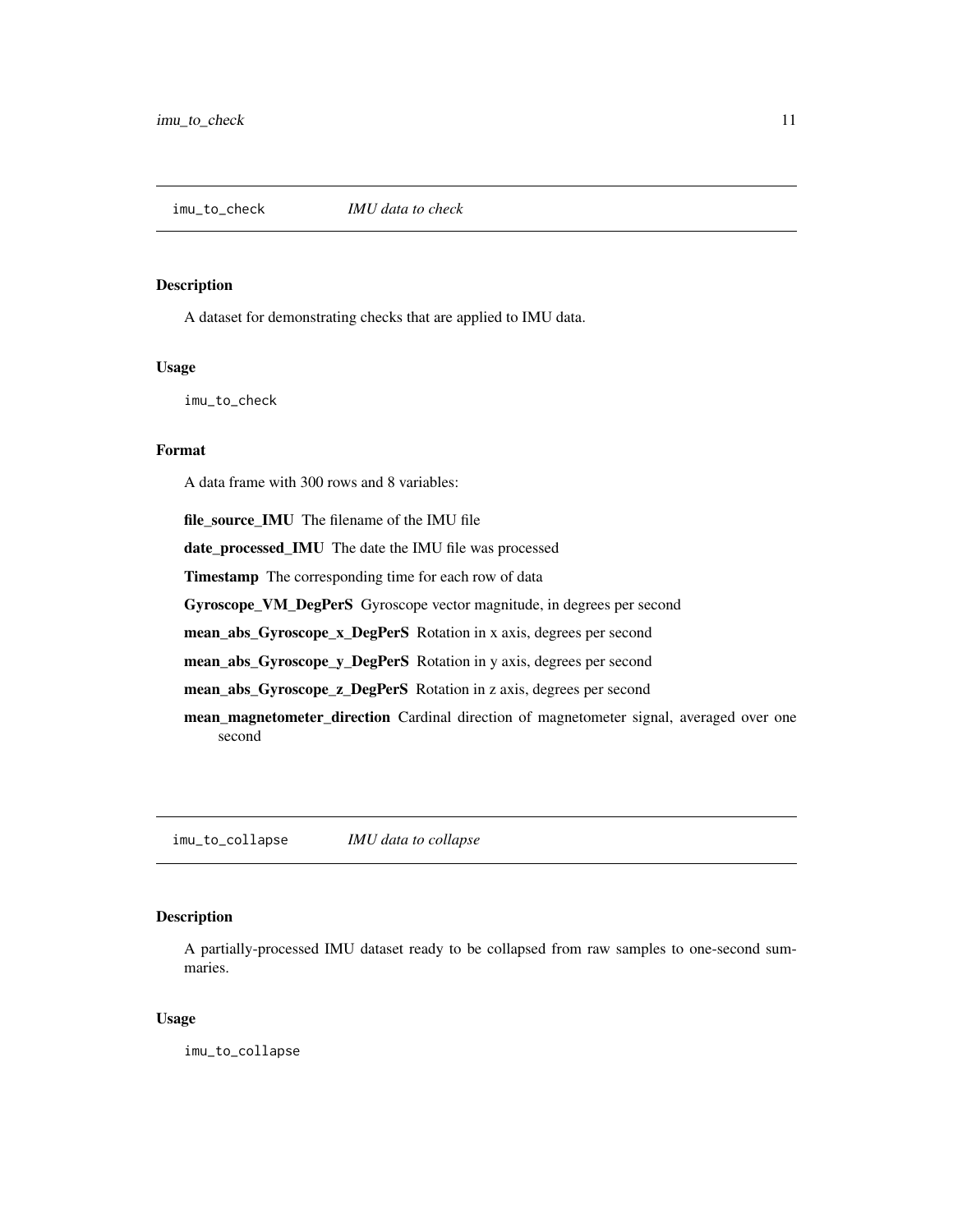<span id="page-10-0"></span>

A dataset for demonstrating checks that are applied to IMU data.

#### Usage

imu\_to\_check

#### Format

A data frame with 300 rows and 8 variables:

file\_source\_IMU The filename of the IMU file date\_processed\_IMU The date the IMU file was processed Timestamp The corresponding time for each row of data Gyroscope\_VM\_DegPerS Gyroscope vector magnitude, in degrees per second mean\_abs\_Gyroscope\_x\_DegPerS Rotation in x axis, degrees per second mean\_abs\_Gyroscope\_y\_DegPerS Rotation in y axis, degrees per second mean\_abs\_Gyroscope\_z\_DegPerS Rotation in z axis, degrees per second mean\_magnetometer\_direction Cardinal direction of magnetometer signal, averaged over one second

imu\_to\_collapse *IMU data to collapse*

#### Description

A partially-processed IMU dataset ready to be collapsed from raw samples to one-second summaries.

#### Usage

imu\_to\_collapse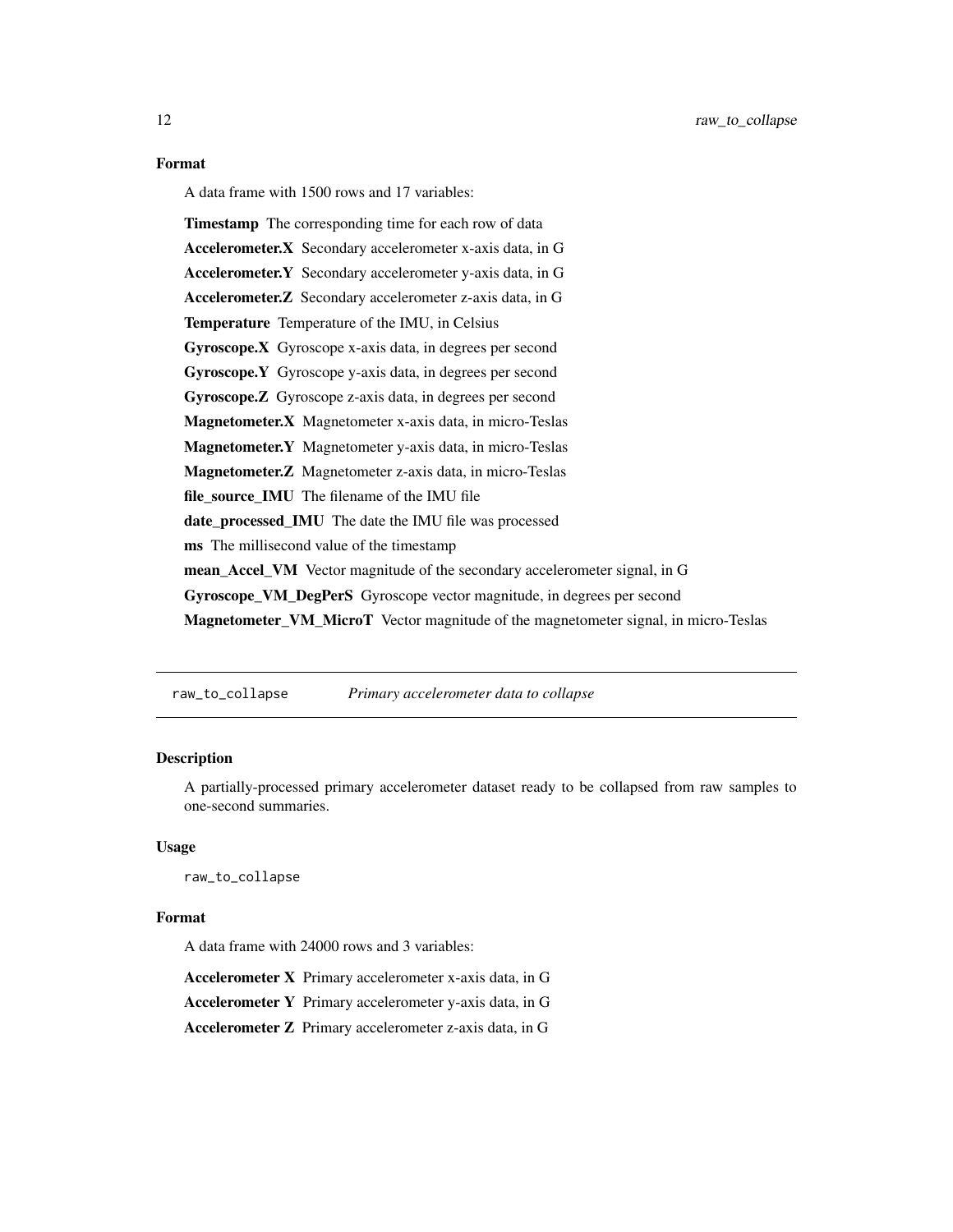#### <span id="page-11-0"></span>Format

A data frame with 1500 rows and 17 variables:

Timestamp The corresponding time for each row of data Accelerometer.X Secondary accelerometer x-axis data, in G Accelerometer.Y Secondary accelerometer y-axis data, in G Accelerometer.Z Secondary accelerometer z-axis data, in G Temperature Temperature of the IMU, in Celsius Gyroscope.X Gyroscope x-axis data, in degrees per second Gyroscope.Y Gyroscope y-axis data, in degrees per second Gyroscope.Z Gyroscope z-axis data, in degrees per second Magnetometer.X Magnetometer x-axis data, in micro-Teslas Magnetometer.Y Magnetometer y-axis data, in micro-Teslas Magnetometer.Z Magnetometer z-axis data, in micro-Teslas file\_source\_IMU The filename of the IMU file date\_processed\_IMU The date the IMU file was processed ms The millisecond value of the timestamp mean\_Accel\_VM Vector magnitude of the secondary accelerometer signal, in G Gyroscope\_VM\_DegPerS Gyroscope vector magnitude, in degrees per second Magnetometer\_VM\_MicroT Vector magnitude of the magnetometer signal, in micro-Teslas

raw\_to\_collapse *Primary accelerometer data to collapse*

#### Description

A partially-processed primary accelerometer dataset ready to be collapsed from raw samples to one-second summaries.

#### Usage

raw\_to\_collapse

#### Format

A data frame with 24000 rows and 3 variables:

Accelerometer X Primary accelerometer x-axis data, in G

Accelerometer Y Primary accelerometer y-axis data, in G

Accelerometer Z Primary accelerometer z-axis data, in G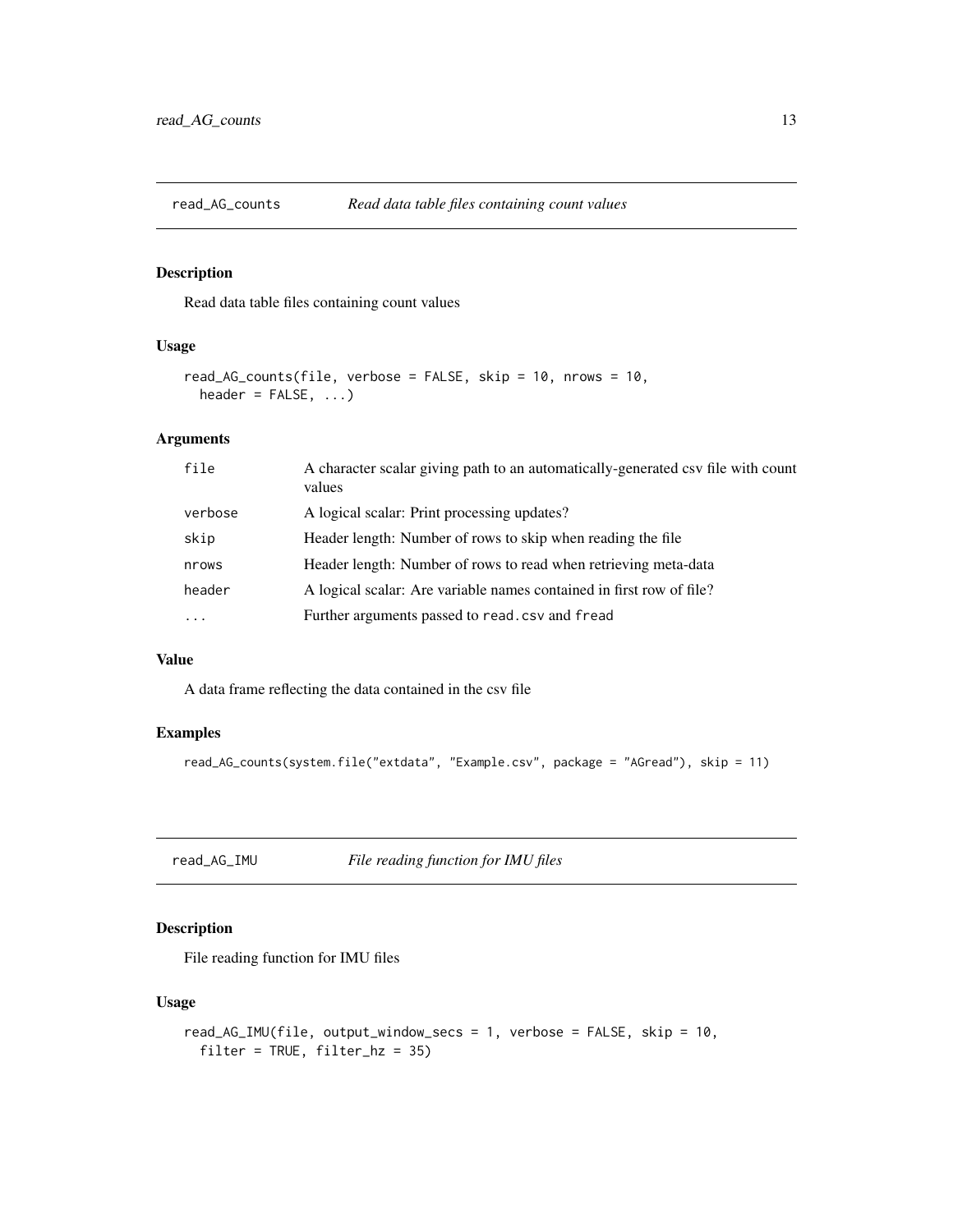<span id="page-12-1"></span><span id="page-12-0"></span>

Read data table files containing count values

#### Usage

```
read_AG_counts(file, verbose = FALSE, skip = 10, nrows = 10,
 header = FALSE, ...)
```
#### Arguments

| file      | A character scalar giving path to an automatically-generated csv file with count<br>values |
|-----------|--------------------------------------------------------------------------------------------|
| verbose   | A logical scalar: Print processing updates?                                                |
| skip      | Header length: Number of rows to skip when reading the file                                |
| nrows     | Header length: Number of rows to read when retrieving meta-data                            |
| header    | A logical scalar: Are variable names contained in first row of file?                       |
| $\ddotsc$ | Further arguments passed to read.csv and fread                                             |
|           |                                                                                            |

#### Value

A data frame reflecting the data contained in the csv file

#### Examples

```
read_AG_counts(system.file("extdata", "Example.csv", package = "AGread"), skip = 11)
```
<span id="page-12-2"></span>read\_AG\_IMU *File reading function for IMU files*

#### Description

File reading function for IMU files

#### Usage

```
read_AG_IMU(file, output_window_secs = 1, verbose = FALSE, skip = 10,
 filter = TRUE, filter_hz = 35)
```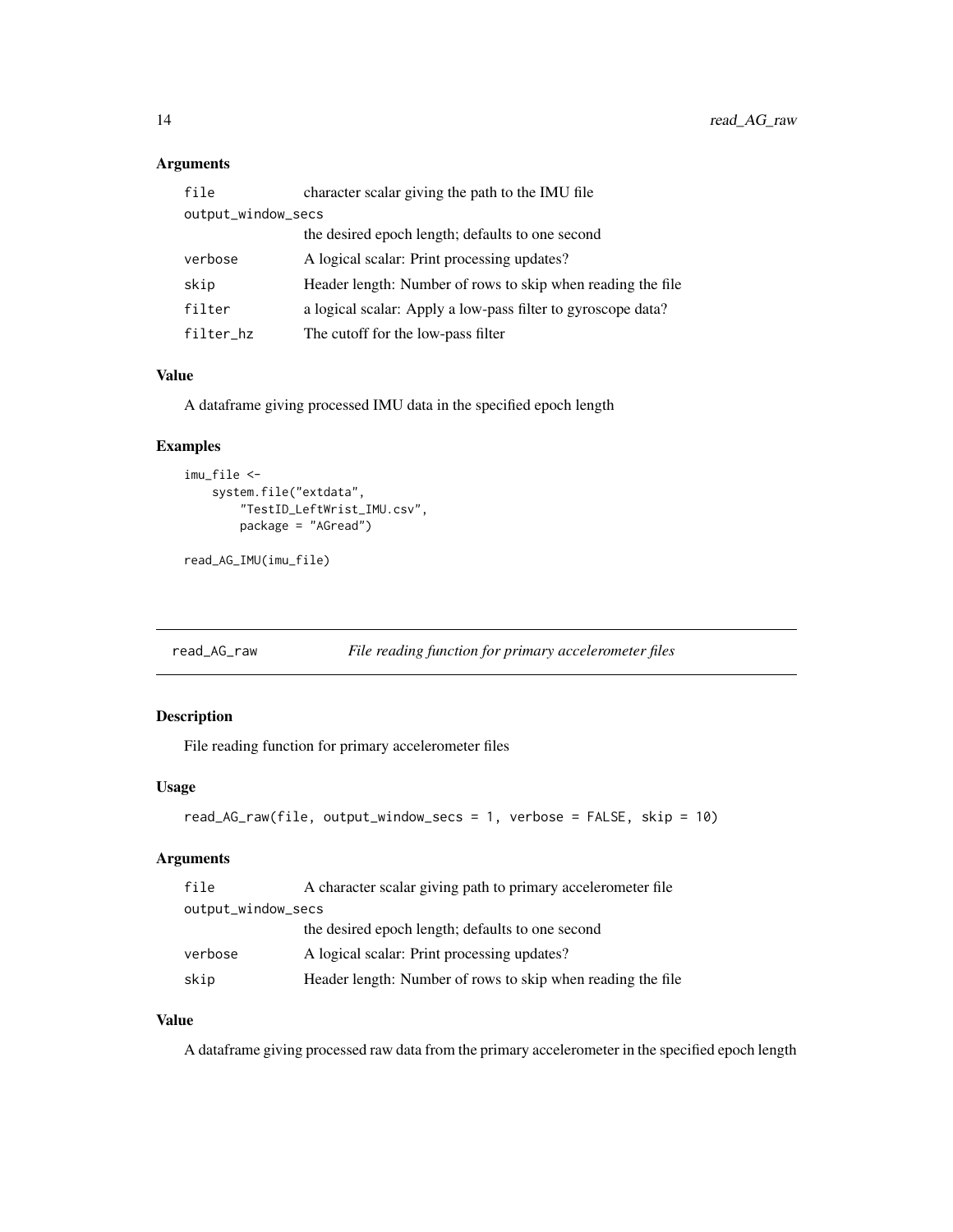#### <span id="page-13-0"></span>Arguments

| file               | character scalar giving the path to the IMU file             |  |
|--------------------|--------------------------------------------------------------|--|
| output_window_secs |                                                              |  |
|                    | the desired epoch length; defaults to one second             |  |
| verbose            | A logical scalar: Print processing updates?                  |  |
| skip               | Header length: Number of rows to skip when reading the file  |  |
| filter             | a logical scalar: Apply a low-pass filter to gyroscope data? |  |
| filter_hz          | The cutoff for the low-pass filter                           |  |

#### Value

A dataframe giving processed IMU data in the specified epoch length

#### Examples

```
imu_file <-
   system.file("extdata",
       "TestID_LeftWrist_IMU.csv",
       package = "AGread")
```
read\_AG\_IMU(imu\_file)

<span id="page-13-1"></span>read\_AG\_raw *File reading function for primary accelerometer files*

#### Description

File reading function for primary accelerometer files

#### Usage

```
read_AG_raw(file, output_window_secs = 1, verbose = FALSE, skip = 10)
```
#### Arguments

| file               | A character scalar giving path to primary accelerometer file |  |
|--------------------|--------------------------------------------------------------|--|
| output_window_secs |                                                              |  |
|                    | the desired epoch length; defaults to one second             |  |
| verbose            | A logical scalar: Print processing updates?                  |  |
| skip               | Header length: Number of rows to skip when reading the file  |  |

#### Value

A dataframe giving processed raw data from the primary accelerometer in the specified epoch length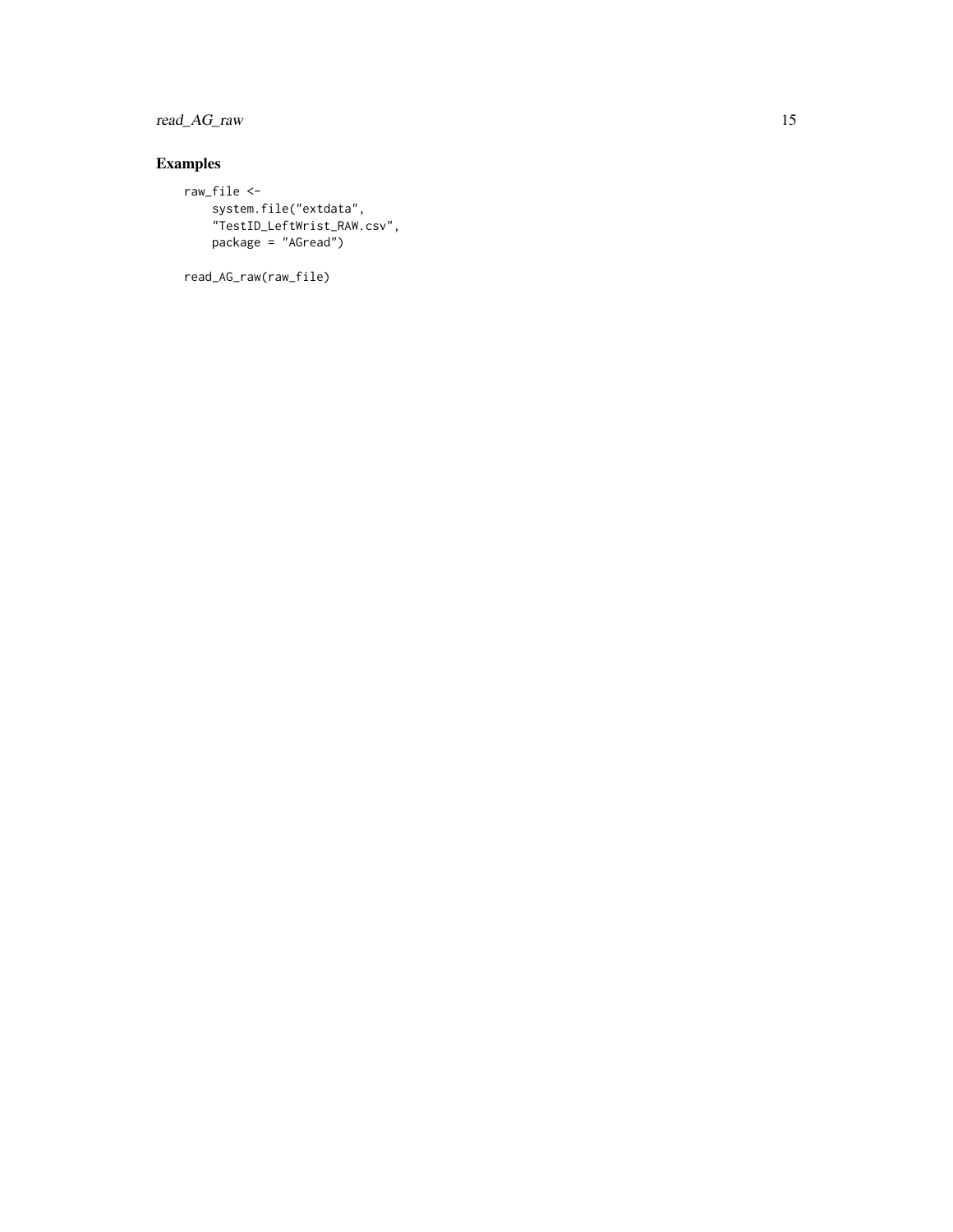read\_AG\_raw 15

#### Examples

```
raw_file <-
   system.file("extdata",
   "TestID_LeftWrist_RAW.csv",
   package = "AGread")
```
read\_AG\_raw(raw\_file)